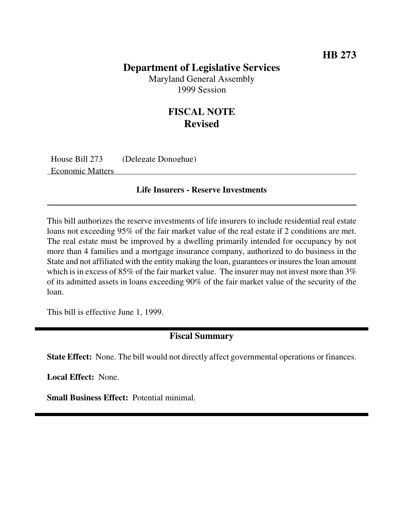## **Department of Legislative Services**

Maryland General Assembly 1999 Session

## **FISCAL NOTE Revised**

House Bill 273 (Delegate Donoghue) Economic Matters

## **Life Insurers - Reserve Investments**

This bill authorizes the reserve investments of life insurers to include residential real estate loans not exceeding 95% of the fair market value of the real estate if 2 conditions are met. The real estate must be improved by a dwelling primarily intended for occupancy by not more than 4 families and a mortgage insurance company, authorized to do business in the State and not affiliated with the entity making the loan, guarantees or insures the loan amount which is in excess of 85% of the fair market value. The insurer may not invest more than  $3\%$ of its admitted assets in loans exceeding 90% of the fair market value of the security of the loan.

This bill is effective June 1, 1999.

## **Fiscal Summary**

**State Effect:** None. The bill would not directly affect governmental operations or finances.

**Local Effect:** None.

**Small Business Effect:** Potential minimal.